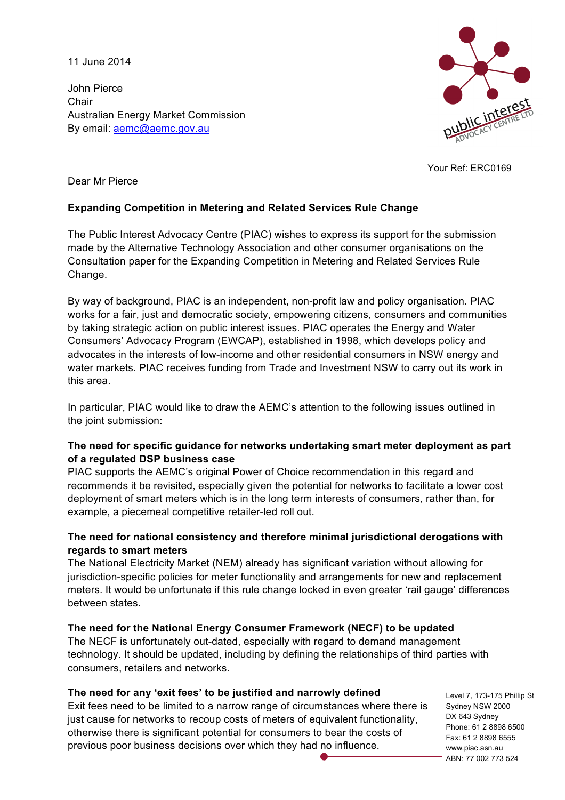11 June 2014

John Pierce **Chair** Australian Energy Market Commission By email: aemc@aemc.gov.au



Your Ref: ERC0169

Dear Mr Pierce

# **Expanding Competition in Metering and Related Services Rule Change**

The Public Interest Advocacy Centre (PIAC) wishes to express its support for the submission made by the Alternative Technology Association and other consumer organisations on the Consultation paper for the Expanding Competition in Metering and Related Services Rule Change.

By way of background, PIAC is an independent, non-profit law and policy organisation. PIAC works for a fair, just and democratic society, empowering citizens, consumers and communities by taking strategic action on public interest issues. PIAC operates the Energy and Water Consumers' Advocacy Program (EWCAP), established in 1998, which develops policy and advocates in the interests of low-income and other residential consumers in NSW energy and water markets. PIAC receives funding from Trade and Investment NSW to carry out its work in this area.

In particular, PIAC would like to draw the AEMC's attention to the following issues outlined in the joint submission:

## **The need for specific guidance for networks undertaking smart meter deployment as part of a regulated DSP business case**

PIAC supports the AEMC's original Power of Choice recommendation in this regard and recommends it be revisited, especially given the potential for networks to facilitate a lower cost deployment of smart meters which is in the long term interests of consumers, rather than, for example, a piecemeal competitive retailer-led roll out.

# **The need for national consistency and therefore minimal jurisdictional derogations with regards to smart meters**

The National Electricity Market (NEM) already has significant variation without allowing for jurisdiction-specific policies for meter functionality and arrangements for new and replacement meters. It would be unfortunate if this rule change locked in even greater 'rail gauge' differences between states.

# **The need for the National Energy Consumer Framework (NECF) to be updated**

The NECF is unfortunately out-dated, especially with regard to demand management technology. It should be updated, including by defining the relationships of third parties with consumers, retailers and networks.

#### **The need for any 'exit fees' to be justified and narrowly defined**

Exit fees need to be limited to a narrow range of circumstances where there is just cause for networks to recoup costs of meters of equivalent functionality, otherwise there is significant potential for consumers to bear the costs of previous poor business decisions over which they had no influence.

Level 7, 173-175 Phillip St Sydney NSW 2000 DX 643 Sydney Phone: 61 2 8898 6500 Fax: 61 2 8898 6555 www.piac.asn.au ABN: 77 002 773 524